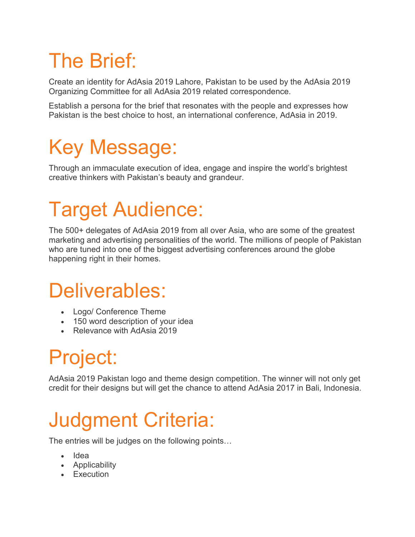# The Brief:

Create an identity for AdAsia 2019 Lahore, Pakistan to be used by the AdAsia 2019 Organizing Committee for all AdAsia 2019 related correspondence.

Establish a persona for the brief that resonates with the people and expresses how Pakistan is the best choice to host, an international conference, AdAsia in 2019.

# Key Message:

Through an immaculate execution of idea, engage and inspire the world's brightest creative thinkers with Pakistan's beauty and grandeur.

# Target Audience:

The 500+ delegates of AdAsia 2019 from all over Asia, who are some of the greatest marketing and advertising personalities of the world. The millions of people of Pakistan who are tuned into one of the biggest advertising conferences around the globe happening right in their homes.

### Deliverables:

- Logo/ Conference Theme
- 150 word description of your idea
- Relevance with AdAsia 2019

## Project:

AdAsia 2019 Pakistan logo and theme design competition. The winner will not only get credit for their designs but will get the chance to attend AdAsia 2017 in Bali, Indonesia.

### Judgment Criteria:

The entries will be judges on the following points…

- Idea
- Applicability
- Execution